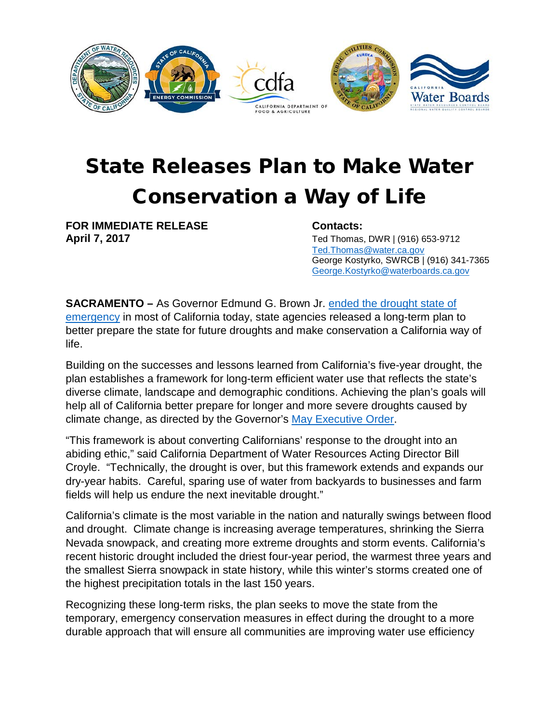

## State Releases Plan to Make Water Conservation a Way of Life

**FOR IMMEDIATE RELEASE Contacts:**

**April 7, 2017** Ted Thomas, DWR | (916) 653-9712 [Ted.Thomas@water.ca.gov](mailto:Ted.Thomas@water.ca.gov) George Kostyrko, SWRCB | (916) 341-7365 [George.Kostyrko@waterboards.ca.gov](mailto:George.Kostyrko@waterboards.ca.gov)

**SACRAMENTO –** As Governor Edmund G. Brown Jr. [ended the drought state of](http://cert1.mail-west.com/yj5W/tmyuzjanmc7rm5J/f415Jg/q5J0dvg9xqtbbey/nbf415Jqvn/6gy/97vp/lpdjqb?_c=d%7Cze7pzanwmhlzgt%7C14soalt6ci79qcy&_ce=1491585619.08f8ab644c754bdb5d159ffce0fed9ab)  [emergency](http://cert1.mail-west.com/yj5W/tmyuzjanmc7rm5J/f415Jg/q5J0dvg9xqtbbey/nbf415Jqvn/6gy/97vp/lpdjqb?_c=d%7Cze7pzanwmhlzgt%7C14soalt6ci79qcy&_ce=1491585619.08f8ab644c754bdb5d159ffce0fed9ab) in most of California today, state agencies released a long-term plan to better prepare the state for future droughts and make conservation a California way of life.

Building on the successes and lessons learned from California's five-year drought, the plan establishes a framework for long-term efficient water use that reflects the state's diverse climate, landscape and demographic conditions. Achieving the plan's goals will help all of California better prepare for longer and more severe droughts caused by climate change, as directed by the Governor's [May Executive Order.](https://www.gov.ca.gov/docs/5.9.16_Attested_Drought_Order.pdf)

"This framework is about converting Californians' response to the drought into an abiding ethic," said California Department of Water Resources Acting Director Bill Croyle. "Technically, the drought is over, but this framework extends and expands our dry-year habits. Careful, sparing use of water from backyards to businesses and farm fields will help us endure the next inevitable drought."

California's climate is the most variable in the nation and naturally swings between flood and drought. Climate change is increasing average temperatures, shrinking the Sierra Nevada snowpack, and creating more extreme droughts and storm events. California's recent historic drought included the driest four-year period, the warmest three years and the smallest Sierra snowpack in state history, while this winter's storms created one of the highest precipitation totals in the last 150 years.

Recognizing these long-term risks, the plan seeks to move the state from the temporary, emergency conservation measures in effect during the drought to a more durable approach that will ensure all communities are improving water use efficiency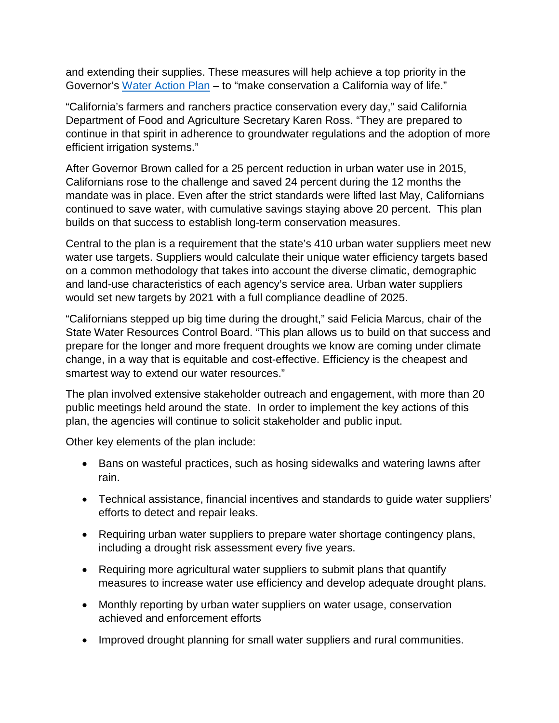and extending their supplies. These measures will help achieve a top priority in the Governor's [Water Action Plan](http://resources.ca.gov/california_water_action_plan/) – to "make conservation a California way of life."

"California's farmers and ranchers practice conservation every day," said California Department of Food and Agriculture Secretary Karen Ross. "They are prepared to continue in that spirit in adherence to groundwater regulations and the adoption of more efficient irrigation systems."

After Governor Brown called for a 25 percent reduction in urban water use in 2015, Californians rose to the challenge and saved 24 percent during the 12 months the mandate was in place. Even after the strict standards were lifted last May, Californians continued to save water, with cumulative savings staying above 20 percent. This plan builds on that success to establish long-term conservation measures.

Central to the plan is a requirement that the state's 410 urban water suppliers meet new water use targets. Suppliers would calculate their unique water efficiency targets based on a common methodology that takes into account the diverse climatic, demographic and land-use characteristics of each agency's service area. Urban water suppliers would set new targets by 2021 with a full compliance deadline of 2025.

"Californians stepped up big time during the drought," said Felicia Marcus, chair of the State Water Resources Control Board. "This plan allows us to build on that success and prepare for the longer and more frequent droughts we know are coming under climate change, in a way that is equitable and cost-effective. Efficiency is the cheapest and smartest way to extend our water resources."

The plan involved extensive stakeholder outreach and engagement, with more than 20 public meetings held around the state. In order to implement the key actions of this plan, the agencies will continue to solicit stakeholder and public input.

Other key elements of the plan include:

- Bans on wasteful practices, such as hosing sidewalks and watering lawns after rain.
- Technical assistance, financial incentives and standards to guide water suppliers' efforts to detect and repair leaks.
- Requiring urban water suppliers to prepare water shortage contingency plans, including a drought risk assessment every five years.
- Requiring more agricultural water suppliers to submit plans that quantify measures to increase water use efficiency and develop adequate drought plans.
- Monthly reporting by urban water suppliers on water usage, conservation achieved and enforcement efforts
- Improved drought planning for small water suppliers and rural communities.